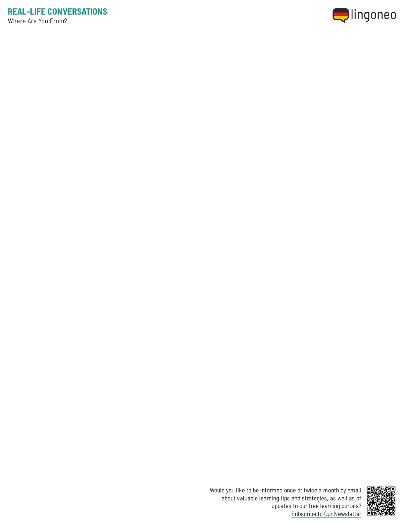



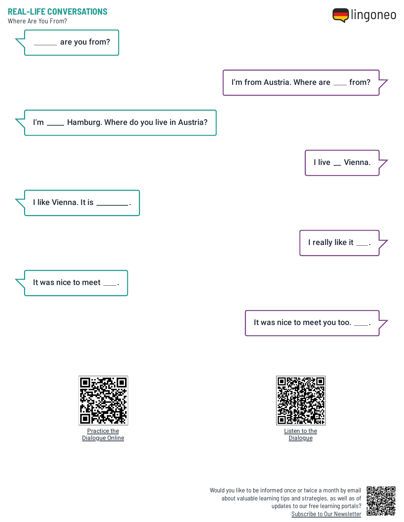## **REAL-LIFE CONVERSATIONS**

Where Are You From?